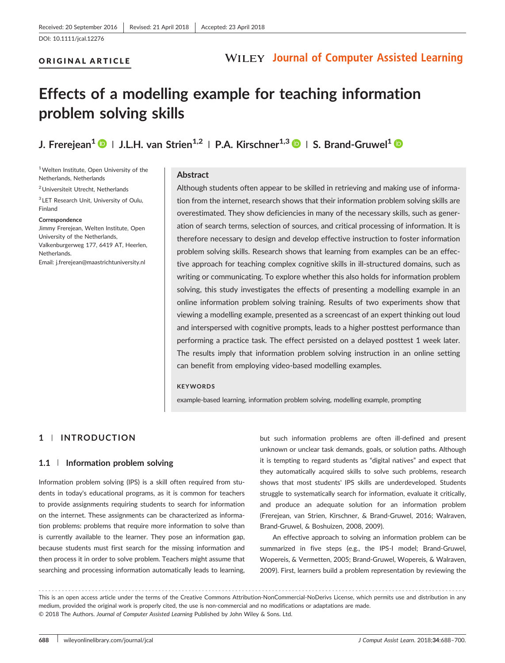ORIGINAL ARTICLE

### **WILEY Journal of Computer Assisted Learning**

# Effects of a modelling example for teaching information problem solving skills

J. Frereiean<sup>1</sup>  $\bigcirc$  | J.L.H. van Strien<sup>1,2</sup> | P.A. Kirschner<sup>1,3</sup>  $\bigcirc$  | S. Brand-Gruwel<sup>1</sup>  $\bigcirc$ 

<sup>1</sup> Welten Institute, Open University of the Netherlands, Netherlands

2Universiteit Utrecht, Netherlands

<sup>3</sup> LET Research Unit, University of Oulu, Finland

Correspondence

Jimmy Frerejean, Welten Institute, Open University of the Netherlands, Valkenburgerweg 177, 6419 AT, Heerlen, Netherlands. Email: [j.frerejean@maastrichtuniversity.nl](mailto:j.frerejean@maastrichtuniversity.nl)

#### Abstract

Although students often appear to be skilled in retrieving and making use of information from the internet, research shows that their information problem solving skills are overestimated. They show deficiencies in many of the necessary skills, such as generation of search terms, selection of sources, and critical processing of information. It is therefore necessary to design and develop effective instruction to foster information problem solving skills. Research shows that learning from examples can be an effective approach for teaching complex cognitive skills in ill‐structured domains, such as writing or communicating. To explore whether this also holds for information problem solving, this study investigates the effects of presenting a modelling example in an online information problem solving training. Results of two experiments show that viewing a modelling example, presented as a screencast of an expert thinking out loud and interspersed with cognitive prompts, leads to a higher posttest performance than performing a practice task. The effect persisted on a delayed posttest 1 week later. The results imply that information problem solving instruction in an online setting can benefit from employing video‐based modelling examples.

#### **KEYWORDS**

example-based learning, information problem solving, modelling example, prompting

### 1 | INTRODUCTION

#### 1.1 | Information problem solving

Information problem solving (IPS) is a skill often required from students in today's educational programs, as it is common for teachers to provide assignments requiring students to search for information on the internet. These assignments can be characterized as information problems: problems that require more information to solve than is currently available to the learner. They pose an information gap, because students must first search for the missing information and then process it in order to solve problem. Teachers might assume that searching and processing information automatically leads to learning,

but such information problems are often ill-defined and present unknown or unclear task demands, goals, or solution paths. Although it is tempting to regard students as "digital natives" and expect that they automatically acquired skills to solve such problems, research shows that most students' IPS skills are underdeveloped. Students struggle to systematically search for information, evaluate it critically, and produce an adequate solution for an information problem (Frerejean, van Strien, Kirschner, & Brand‐Gruwel, 2016; Walraven, Brand‐Gruwel, & Boshuizen, 2008, 2009).

An effective approach to solving an information problem can be summarized in five steps (e.g., the IPS‐I model; Brand‐Gruwel, Wopereis, & Vermetten, 2005; Brand‐Gruwel, Wopereis, & Walraven, 2009). First, learners build a problem representation by reviewing the

------------------------------------------------------------------------------------------------------------------------------- - This is an open access article under the terms of the [Creative Commons Attribution](http://creativecommons.org/licenses/by-nc-nd/4.0/)‐NonCommercial‐NoDerivs License, which permits use and distribution in any medium, provided the original work is properly cited, the use is non‐commercial and no modifications or adaptations are made. © 2018 The Authors. Journal of Computer Assisted Learning Published by John Wiley & Sons. Ltd.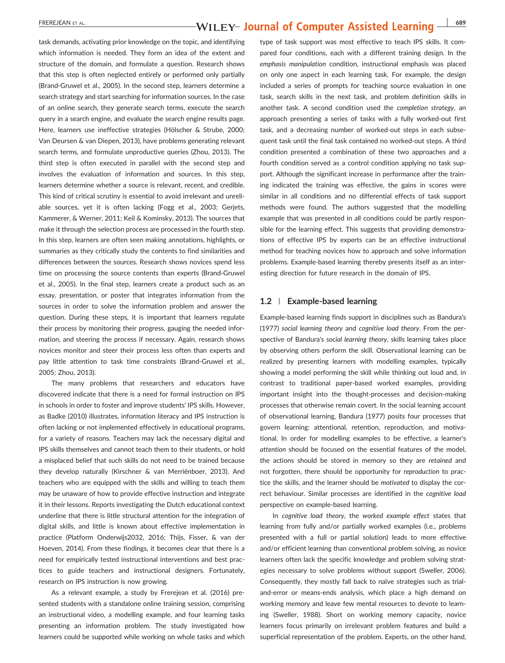# EREREJEAN ET AL. **EXEREJEAN ET AL. EREREJEAN ET AL. EXEREJEAN ET AL. 689**

task demands, activating prior knowledge on the topic, and identifying which information is needed. They form an idea of the extent and structure of the domain, and formulate a question. Research shows that this step is often neglected entirely or performed only partially (Brand‐Gruwel et al., 2005). In the second step, learners determine a search strategy and start searching for information sources. In the case of an online search, they generate search terms, execute the search query in a search engine, and evaluate the search engine results page. Here, learners use ineffective strategies (Hölscher & Strube, 2000; Van Deursen & van Diepen, 2013), have problems generating relevant search terms, and formulate unproductive queries (Zhou, 2013). The third step is often executed in parallel with the second step and involves the evaluation of information and sources. In this step, learners determine whether a source is relevant, recent, and credible. This kind of critical scrutiny is essential to avoid irrelevant and unreliable sources, yet it is often lacking (Fogg et al., 2003; Gerjets, Kammerer, & Werner, 2011; Keil & Kominsky, 2013). The sources that make it through the selection process are processed in the fourth step. In this step, learners are often seen making annotations, highlights, or summaries as they critically study the contents to find similarities and differences between the sources. Research shows novices spend less time on processing the source contents than experts (Brand‐Gruwel et al., 2005). In the final step, learners create a product such as an essay, presentation, or poster that integrates information from the sources in order to solve the information problem and answer the question. During these steps, it is important that learners regulate their process by monitoring their progress, gauging the needed information, and steering the process if necessary. Again, research shows novices monitor and steer their process less often than experts and pay little attention to task time constraints (Brand‐Gruwel et al., 2005; Zhou, 2013).

The many problems that researchers and educators have discovered indicate that there is a need for formal instruction on IPS in schools in order to foster and improve students' IPS skills. However, as Badke (2010) illustrates, information literacy and IPS instruction is often lacking or not implemented effectively in educational programs, for a variety of reasons. Teachers may lack the necessary digital and IPS skills themselves and cannot teach them to their students, or hold a misplaced belief that such skills do not need to be trained because they develop naturally (Kirschner & van Merriënboer, 2013). And teachers who are equipped with the skills and willing to teach them may be unaware of how to provide effective instruction and integrate it in their lessons. Reports investigating the Dutch educational context underline that there is little structural attention for the integration of digital skills, and little is known about effective implementation in practice (Platform Onderwijs2032, 2016; Thijs, Fisser, & van der Hoeven, 2014). From these findings, it becomes clear that there is a need for empirically tested instructional interventions and best practices to guide teachers and instructional designers. Fortunately, research on IPS instruction is now growing.

As a relevant example, a study by Frerejean et al. (2016) presented students with a standalone online training session, comprising an instructional video, a modelling example, and four learning tasks presenting an information problem. The study investigated how learners could be supported while working on whole tasks and which

type of task support was most effective to teach IPS skills. It compared four conditions, each with a different training design. In the emphasis manipulation condition, instructional emphasis was placed on only one aspect in each learning task. For example, the design included a series of prompts for teaching source evaluation in one task, search skills in the next task, and problem definition skills in another task. A second condition used the completion strategy, an approach presenting a series of tasks with a fully worked‐out first task, and a decreasing number of worked‐out steps in each subsequent task until the final task contained no worked‐out steps. A third condition presented a combination of these two approaches and a fourth condition served as a control condition applying no task support. Although the significant increase in performance after the training indicated the training was effective, the gains in scores were similar in all conditions and no differential effects of task support methods were found. The authors suggested that the modelling example that was presented in all conditions could be partly responsible for the learning effect. This suggests that providing demonstrations of effective IPS by experts can be an effective instructional method for teaching novices how to approach and solve information problems. Example‐based learning thereby presents itself as an interesting direction for future research in the domain of IPS.

#### 1.2 | Example-based learning

Example‐based learning finds support in disciplines such as Bandura's (1977) social learning theory and cognitive load theory. From the perspective of Bandura's social learning theory, skills learning takes place by observing others perform the skill. Observational learning can be realized by presenting learners with modelling examples, typically showing a model performing the skill while thinking out loud and, in contrast to traditional paper‐based worked examples, providing important insight into the thought‐processes and decision‐making processes that otherwise remain covert. In the social learning account of observational learning, Bandura (1977) posits four processes that govern learning: attentional, retention, reproduction, and motivational. In order for modelling examples to be effective, a learner's attention should be focused on the essential features of the model, the actions should be stored in memory so they are retained and not forgotten, there should be opportunity for reproduction to practice the skills, and the learner should be motivated to display the correct behaviour. Similar processes are identified in the cognitive load perspective on example‐based learning.

In cognitive load theory, the worked example effect states that learning from fully and/or partially worked examples (i.e., problems presented with a full or partial solution) leads to more effective and/or efficient learning than conventional problem solving, as novice learners often lack the specific knowledge and problem solving strategies necessary to solve problems without support (Sweller, 2006). Consequently, they mostly fall back to naïve strategies such as trial‐ and-error or means-ends analysis, which place a high demand on working memory and leave few mental resources to devote to learning (Sweller, 1988). Short on working memory capacity, novice learners focus primarily on irrelevant problem features and build a superficial representation of the problem. Experts, on the other hand,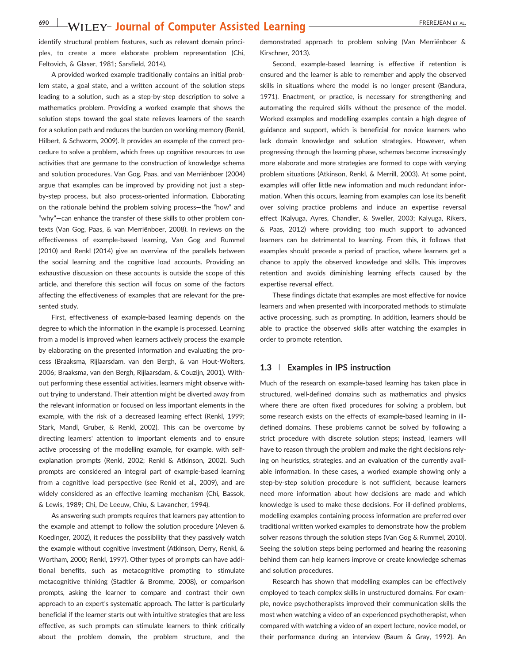identify structural problem features, such as relevant domain principles, to create a more elaborate problem representation (Chi, Feltovich, & Glaser, 1981; Sarsfield, 2014).

A provided worked example traditionally contains an initial problem state, a goal state, and a written account of the solution steps leading to a solution, such as a step‐by‐step description to solve a mathematics problem. Providing a worked example that shows the solution steps toward the goal state relieves learners of the search for a solution path and reduces the burden on working memory (Renkl, Hilbert, & Schworm, 2009). It provides an example of the correct procedure to solve a problem, which frees up cognitive resources to use activities that are germane to the construction of knowledge schema and solution procedures. Van Gog, Paas, and van Merriënboer (2004) argue that examples can be improved by providing not just a step‐ by‐step process, but also process‐oriented information. Elaborating on the rationale behind the problem solving process—the "how" and "why"—can enhance the transfer of these skills to other problem contexts (Van Gog, Paas, & van Merriënboer, 2008). In reviews on the effectiveness of example‐based learning, Van Gog and Rummel (2010) and Renkl (2014) give an overview of the parallels between the social learning and the cognitive load accounts. Providing an exhaustive discussion on these accounts is outside the scope of this article, and therefore this section will focus on some of the factors affecting the effectiveness of examples that are relevant for the presented study.

First, effectiveness of example‐based learning depends on the degree to which the information in the example is processed. Learning from a model is improved when learners actively process the example by elaborating on the presented information and evaluating the process (Braaksma, Rijlaarsdam, van den Bergh, & van Hout‐Wolters, 2006; Braaksma, van den Bergh, Rijlaarsdam, & Couzijn, 2001). Without performing these essential activities, learners might observe without trying to understand. Their attention might be diverted away from the relevant information or focused on less important elements in the example, with the risk of a decreased learning effect (Renkl, 1999; Stark, Mandl, Gruber, & Renkl, 2002). This can be overcome by directing learners' attention to important elements and to ensure active processing of the modelling example, for example, with self‐ explanation prompts (Renkl, 2002; Renkl & Atkinson, 2002). Such prompts are considered an integral part of example‐based learning from a cognitive load perspective (see Renkl et al., 2009), and are widely considered as an effective learning mechanism (Chi, Bassok, & Lewis, 1989; Chi, De Leeuw, Chiu, & Lavancher, 1994).

As answering such prompts requires that learners pay attention to the example and attempt to follow the solution procedure (Aleven & Koedinger, 2002), it reduces the possibility that they passively watch the example without cognitive investment (Atkinson, Derry, Renkl, & Wortham, 2000; Renkl, 1997). Other types of prompts can have additional benefits, such as metacognitive prompting to stimulate metacognitive thinking (Stadtler & Bromme, 2008), or comparison prompts, asking the learner to compare and contrast their own approach to an expert's systematic approach. The latter is particularly beneficial if the learner starts out with intuitive strategies that are less effective, as such prompts can stimulate learners to think critically about the problem domain, the problem structure, and the demonstrated approach to problem solving (Van Merriënboer & Kirschner, 2013).

Second, example-based learning is effective if retention is ensured and the learner is able to remember and apply the observed skills in situations where the model is no longer present (Bandura, 1971). Enactment, or practice, is necessary for strengthening and automating the required skills without the presence of the model. Worked examples and modelling examples contain a high degree of guidance and support, which is beneficial for novice learners who lack domain knowledge and solution strategies. However, when progressing through the learning phase, schemas become increasingly more elaborate and more strategies are formed to cope with varying problem situations (Atkinson, Renkl, & Merrill, 2003). At some point, examples will offer little new information and much redundant information. When this occurs, learning from examples can lose its benefit over solving practice problems and induce an expertise reversal effect (Kalyuga, Ayres, Chandler, & Sweller, 2003; Kalyuga, Rikers, & Paas, 2012) where providing too much support to advanced learners can be detrimental to learning. From this, it follows that examples should precede a period of practice, where learners get a chance to apply the observed knowledge and skills. This improves retention and avoids diminishing learning effects caused by the expertise reversal effect.

These findings dictate that examples are most effective for novice learners and when presented with incorporated methods to stimulate active processing, such as prompting. In addition, learners should be able to practice the observed skills after watching the examples in order to promote retention.

#### 1.3 | Examples in IPS instruction

Much of the research on example‐based learning has taken place in structured, well‐defined domains such as mathematics and physics where there are often fixed procedures for solving a problem, but some research exists on the effects of example-based learning in illdefined domains. These problems cannot be solved by following a strict procedure with discrete solution steps; instead, learners will have to reason through the problem and make the right decisions relying on heuristics, strategies, and an evaluation of the currently available information. In these cases, a worked example showing only a step-by-step solution procedure is not sufficient, because learners need more information about how decisions are made and which knowledge is used to make these decisions. For ill‐defined problems, modelling examples containing process information are preferred over traditional written worked examples to demonstrate how the problem solver reasons through the solution steps (Van Gog & Rummel, 2010). Seeing the solution steps being performed and hearing the reasoning behind them can help learners improve or create knowledge schemas and solution procedures.

Research has shown that modelling examples can be effectively employed to teach complex skills in unstructured domains. For example, novice psychotherapists improved their communication skills the most when watching a video of an experienced psychotherapist, when compared with watching a video of an expert lecture, novice model, or their performance during an interview (Baum & Gray, 1992). An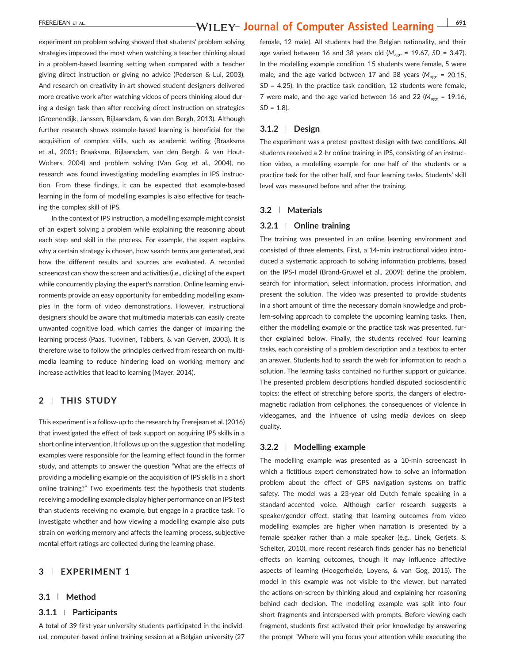### EREREJEAN ET AL. **EXEREJEAN ET AL. EXEREJEAN ET AL. 1911 WILEY- Journal of Computer Assisted Learning**  $\frac{1}{691}$

experiment on problem solving showed that students' problem solving strategies improved the most when watching a teacher thinking aloud in a problem‐based learning setting when compared with a teacher giving direct instruction or giving no advice (Pedersen & Lui, 2003). And research on creativity in art showed student designers delivered more creative work after watching videos of peers thinking aloud during a design task than after receiving direct instruction on strategies (Groenendijk, Janssen, Rijlaarsdam, & van den Bergh, 2013). Although further research shows example‐based learning is beneficial for the acquisition of complex skills, such as academic writing (Braaksma et al., 2001; Braaksma, Rijlaarsdam, van den Bergh, & van Hout‐ Wolters, 2004) and problem solving (Van Gog et al., 2004), no research was found investigating modelling examples in IPS instruction. From these findings, it can be expected that example‐based learning in the form of modelling examples is also effective for teaching the complex skill of IPS.

In the context of IPS instruction, a modelling example might consist of an expert solving a problem while explaining the reasoning about each step and skill in the process. For example, the expert explains why a certain strategy is chosen, how search terms are generated, and how the different results and sources are evaluated. A recorded screencast can show the screen and activities (i.e., clicking) of the expert while concurrently playing the expert's narration. Online learning environments provide an easy opportunity for embedding modelling examples in the form of video demonstrations. However, instructional designers should be aware that multimedia materials can easily create unwanted cognitive load, which carries the danger of impairing the learning process (Paas, Tuovinen, Tabbers, & van Gerven, 2003). It is therefore wise to follow the principles derived from research on multimedia learning to reduce hindering load on working memory and increase activities that lead to learning (Mayer, 2014).

### 2 | THIS STUDY

This experiment is a follow-up to the research by Frerejean et al. (2016) that investigated the effect of task support on acquiring IPS skills in a short online intervention. It follows up on the suggestion that modelling examples were responsible for the learning effect found in the former study, and attempts to answer the question "What are the effects of providing a modelling example on the acquisition of IPS skills in a short online training?" Two experiments test the hypothesis that students receiving a modelling example display higher performance on an IPS test than students receiving no example, but engage in a practice task. To investigate whether and how viewing a modelling example also puts strain on working memory and affects the learning process, subjective mental effort ratings are collected during the learning phase.

#### 3 | EXPERIMENT 1

#### 3.1 | Method

#### 3.1.1 <sup>|</sup> Participants

A total of 39 first‐year university students participated in the individual, computer‐based online training session at a Belgian university (27

female, 12 male). All students had the Belgian nationality, and their age varied between 16 and 38 years old ( $M_{\text{age}}$  = 19.67, SD = 3.47). In the modelling example condition, 15 students were female, 5 were male, and the age varied between 17 and 38 years ( $M_{\text{age}} = 20.15$ ,  $SD = 4.25$ ). In the practice task condition, 12 students were female, 7 were male, and the age varied between 16 and 22 ( $M_{\text{age}} = 19.16$ ,  $SD = 1.8$ ).

#### 3.1.2 <sup>|</sup> Design

The experiment was a pretest-posttest design with two conditions. All students received a 2‐hr online training in IPS, consisting of an instruction video, a modelling example for one half of the students or a practice task for the other half, and four learning tasks. Students' skill level was measured before and after the training.

#### 3.2 | Materials

#### 3.2.1 <sup>|</sup> Online training

The training was presented in an online learning environment and consisted of three elements. First, a 14‐min instructional video introduced a systematic approach to solving information problems, based on the IPS‐I model (Brand‐Gruwel et al., 2009): define the problem, search for information, select information, process information, and present the solution. The video was presented to provide students in a short amount of time the necessary domain knowledge and problem‐solving approach to complete the upcoming learning tasks. Then, either the modelling example or the practice task was presented, further explained below. Finally, the students received four learning tasks, each consisting of a problem description and a textbox to enter an answer. Students had to search the web for information to reach a solution. The learning tasks contained no further support or guidance. The presented problem descriptions handled disputed socioscientific topics: the effect of stretching before sports, the dangers of electromagnetic radiation from cellphones, the consequences of violence in videogames, and the influence of using media devices on sleep quality.

#### 3.2.2 <sup>|</sup> Modelling example

The modelling example was presented as a 10‐min screencast in which a fictitious expert demonstrated how to solve an information problem about the effect of GPS navigation systems on traffic safety. The model was a 23-year old Dutch female speaking in a standard‐accented voice. Although earlier research suggests a speaker/gender effect, stating that learning outcomes from video modelling examples are higher when narration is presented by a female speaker rather than a male speaker (e.g., Linek, Gerjets, & Scheiter, 2010), more recent research finds gender has no beneficial effects on learning outcomes, though it may influence affective aspects of learning (Hoogerheide, Loyens, & van Gog, 2015). The model in this example was not visible to the viewer, but narrated the actions on‐screen by thinking aloud and explaining her reasoning behind each decision. The modelling example was split into four short fragments and interspersed with prompts. Before viewing each fragment, students first activated their prior knowledge by answering the prompt "Where will you focus your attention while executing the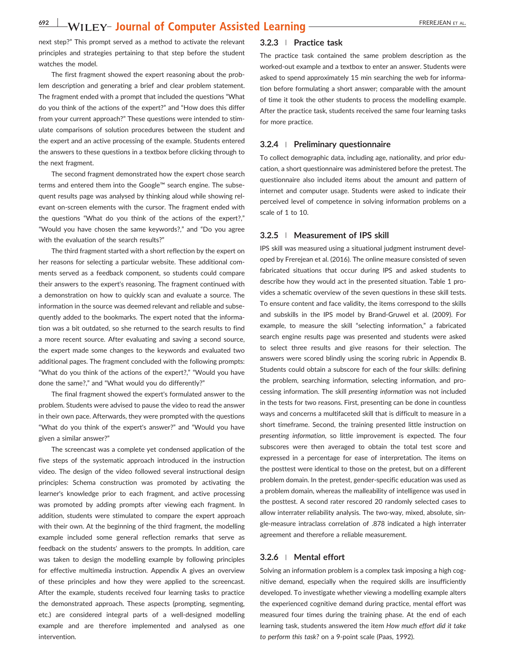next step?" This prompt served as a method to activate the relevant principles and strategies pertaining to that step before the student watches the model.

The first fragment showed the expert reasoning about the problem description and generating a brief and clear problem statement. The fragment ended with a prompt that included the questions "What do you think of the actions of the expert?" and "How does this differ from your current approach?" These questions were intended to stimulate comparisons of solution procedures between the student and the expert and an active processing of the example. Students entered the answers to these questions in a textbox before clicking through to the next fragment.

The second fragment demonstrated how the expert chose search terms and entered them into the Google™ search engine. The subsequent results page was analysed by thinking aloud while showing relevant on-screen elements with the cursor. The fragment ended with the questions "What do you think of the actions of the expert?," "Would you have chosen the same keywords?," and "Do you agree with the evaluation of the search results?"

The third fragment started with a short reflection by the expert on her reasons for selecting a particular website. These additional comments served as a feedback component, so students could compare their answers to the expert's reasoning. The fragment continued with a demonstration on how to quickly scan and evaluate a source. The information in the source was deemed relevant and reliable and subsequently added to the bookmarks. The expert noted that the information was a bit outdated, so she returned to the search results to find a more recent source. After evaluating and saving a second source, the expert made some changes to the keywords and evaluated two additional pages. The fragment concluded with the following prompts: "What do you think of the actions of the expert?," "Would you have done the same?," and "What would you do differently?"

The final fragment showed the expert's formulated answer to the problem. Students were advised to pause the video to read the answer in their own pace. Afterwards, they were prompted with the questions "What do you think of the expert's answer?" and "Would you have given a similar answer?"

The screencast was a complete yet condensed application of the five steps of the systematic approach introduced in the instruction video. The design of the video followed several instructional design principles: Schema construction was promoted by activating the learner's knowledge prior to each fragment, and active processing was promoted by adding prompts after viewing each fragment. In addition, students were stimulated to compare the expert approach with their own. At the beginning of the third fragment, the modelling example included some general reflection remarks that serve as feedback on the students' answers to the prompts. In addition, care was taken to design the modelling example by following principles for effective multimedia instruction. Appendix A gives an overview of these principles and how they were applied to the screencast. After the example, students received four learning tasks to practice the demonstrated approach. These aspects (prompting, segmenting, etc.) are considered integral parts of a well-designed modelling example and are therefore implemented and analysed as one intervention.

#### 3.2.3 <sup>|</sup> Practice task

The practice task contained the same problem description as the worked-out example and a textbox to enter an answer. Students were asked to spend approximately 15 min searching the web for information before formulating a short answer; comparable with the amount of time it took the other students to process the modelling example. After the practice task, students received the same four learning tasks for more practice.

#### 3.2.4 <sup>|</sup> Preliminary questionnaire

To collect demographic data, including age, nationality, and prior education, a short questionnaire was administered before the pretest. The questionnaire also included items about the amount and pattern of internet and computer usage. Students were asked to indicate their perceived level of competence in solving information problems on a scale of 1 to 10.

#### 3.2.5 <sup>|</sup> Measurement of IPS skill

IPS skill was measured using a situational judgment instrument developed by Frerejean et al. (2016). The online measure consisted of seven fabricated situations that occur during IPS and asked students to describe how they would act in the presented situation. Table 1 provides a schematic overview of the seven questions in these skill tests. To ensure content and face validity, the items correspond to the skills and subskills in the IPS model by Brand‐Gruwel et al. (2009). For example, to measure the skill "selecting information," a fabricated search engine results page was presented and students were asked to select three results and give reasons for their selection. The answers were scored blindly using the scoring rubric in Appendix B. Students could obtain a subscore for each of the four skills: defining the problem, searching information, selecting information, and processing information. The skill presenting information was not included in the tests for two reasons. First, presenting can be done in countless ways and concerns a multifaceted skill that is difficult to measure in a short timeframe. Second, the training presented little instruction on presenting information, so little improvement is expected. The four subscores were then averaged to obtain the total test score and expressed in a percentage for ease of interpretation. The items on the posttest were identical to those on the pretest, but on a different problem domain. In the pretest, gender‐specific education was used as a problem domain, whereas the malleability of intelligence was used in the posttest. A second rater rescored 20 randomly selected cases to allow interrater reliability analysis. The two‐way, mixed, absolute, single‐measure intraclass correlation of .878 indicated a high interrater agreement and therefore a reliable measurement.

#### 3.2.6 <sup>|</sup> Mental effort

Solving an information problem is a complex task imposing a high cognitive demand, especially when the required skills are insufficiently developed. To investigate whether viewing a modelling example alters the experienced cognitive demand during practice, mental effort was measured four times during the training phase. At the end of each learning task, students answered the item How much effort did it take to perform this task? on a 9‐point scale (Paas, 1992).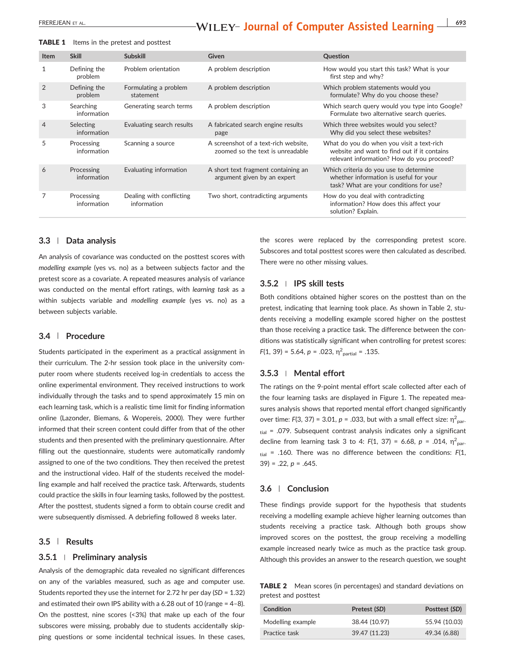# EREREJEAN ET AL. **EXEREJEAN ET AL. EXEREJEAN ET AL. COMPUTER ASSISTED LEARNING**  $\frac{1}{693}$

| TABLE 1 |  |  | Items in the pretest and posttest |
|---------|--|--|-----------------------------------|
|---------|--|--|-----------------------------------|

| <b>Item</b>    | <b>Skill</b>              | <b>Subskill</b>                         | Given                                                                    | Question                                                                                                                              |
|----------------|---------------------------|-----------------------------------------|--------------------------------------------------------------------------|---------------------------------------------------------------------------------------------------------------------------------------|
| 1              | Defining the<br>problem   | Problem orientation                     | A problem description                                                    | How would you start this task? What is your<br>first step and why?                                                                    |
| $\overline{2}$ | Defining the<br>problem   | Formulating a problem<br>statement      | A problem description                                                    | Which problem statements would you<br>formulate? Why do you choose these?                                                             |
| 3              | Searching<br>information  | Generating search terms                 | A problem description                                                    | Which search query would you type into Google?<br>Formulate two alternative search queries.                                           |
| 4              | Selecting<br>information  | Evaluating search results               | A fabricated search engine results<br>page                               | Which three websites would you select?<br>Why did you select these websites?                                                          |
| 5              | Processing<br>information | Scanning a source                       | A screenshot of a text-rich website,<br>zoomed so the text is unreadable | What do you do when you visit a text-rich<br>website and want to find out if it contains<br>relevant information? How do you proceed? |
| 6              | Processing<br>information | Evaluating information                  | A short text fragment containing an<br>argument given by an expert       | Which criteria do you use to determine<br>whether information is useful for your<br>task? What are your conditions for use?           |
|                | Processing<br>information | Dealing with conflicting<br>information | Two short, contradicting arguments                                       | How do you deal with contradicting<br>information? How does this affect your<br>solution? Explain.                                    |

#### 3.3 | Data analysis

An analysis of covariance was conducted on the posttest scores with modelling example (yes vs. no) as a between subjects factor and the pretest score as a covariate. A repeated measures analysis of variance was conducted on the mental effort ratings, with learning task as a within subjects variable and modelling example (yes vs. no) as a between subjects variable.

#### 3.4 | Procedure

Students participated in the experiment as a practical assignment in their curriculum. The 2‐hr session took place in the university computer room where students received log-in credentials to access the online experimental environment. They received instructions to work individually through the tasks and to spend approximately 15 min on each learning task, which is a realistic time limit for finding information online (Lazonder, Biemans, & Wopereis, 2000). They were further informed that their screen content could differ from that of the other students and then presented with the preliminary questionnaire. After filling out the questionnaire, students were automatically randomly assigned to one of the two conditions. They then received the pretest and the instructional video. Half of the students received the modelling example and half received the practice task. Afterwards, students could practice the skills in four learning tasks, followed by the posttest. After the posttest, students signed a form to obtain course credit and were subsequently dismissed. A debriefing followed 8 weeks later.

#### 3.5 | Results

#### 3.5.1 <sup>|</sup> Preliminary analysis

Analysis of the demographic data revealed no significant differences on any of the variables measured, such as age and computer use. Students reported they use the internet for 2.72 hr per day (SD = 1.32) and estimated their own IPS ability with a 6.28 out of 10 (range = 4–8). On the posttest, nine scores (<3%) that make up each of the four subscores were missing, probably due to students accidentally skipping questions or some incidental technical issues. In these cases,

the scores were replaced by the corresponding pretest score. Subscores and total posttest scores were then calculated as described. There were no other missing values.

#### 3.5.2 <sup>|</sup> IPS skill tests

Both conditions obtained higher scores on the posttest than on the pretest, indicating that learning took place. As shown in Table 2, students receiving a modelling example scored higher on the posttest than those receiving a practice task. The difference between the conditions was statistically significant when controlling for pretest scores:  $F(1, 39) = 5.64$ ,  $p = .023$ ,  $\eta^2$ <sub>partial</sub> = .135.

#### 3.5.3 <sup>|</sup> Mental effort

The ratings on the 9‐point mental effort scale collected after each of the four learning tasks are displayed in Figure 1. The repeated measures analysis shows that reported mental effort changed significantly over time: F(3, 37) = 3.01,  $p = 0.033$ , but with a small effect size:  $\eta_{par}^2$  $_{\text{tid}}$  = .079. Subsequent contrast analysis indicates only a significant decline from learning task 3 to 4:  $F(1, 37) = 6.68$ ,  $p = .014$ ,  $\eta_{par}^2$ .  $t<sub>tail</sub>$  = .160. There was no difference between the conditions:  $F(1, 1)$  $39$ ) = .22,  $p = .645$ .

#### 3.6 | Conclusion

These findings provide support for the hypothesis that students receiving a modelling example achieve higher learning outcomes than students receiving a practice task. Although both groups show improved scores on the posttest, the group receiving a modelling example increased nearly twice as much as the practice task group. Although this provides an answer to the research question, we sought

TABLE 2 Mean scores (in percentages) and standard deviations on pretest and posttest

| Condition         | Pretest (SD)  | Posttest (SD) |
|-------------------|---------------|---------------|
| Modelling example | 38.44 (10.97) | 55.94 (10.03) |
| Practice task     | 39.47 (11.23) | 49.34 (6.88)  |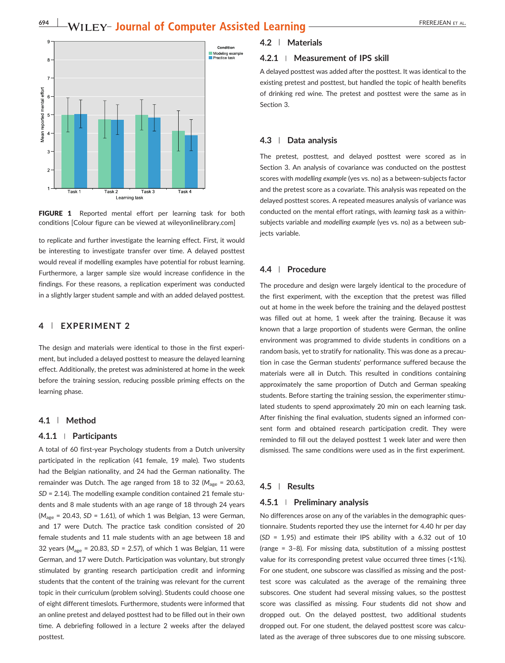

FIGURE 1 Reported mental effort per learning task for both conditions [Colour figure can be viewed at [wileyonlinelibrary.com](http://wileyonlinelibrary.com)]

to replicate and further investigate the learning effect. First, it would be interesting to investigate transfer over time. A delayed posttest would reveal if modelling examples have potential for robust learning. Furthermore, a larger sample size would increase confidence in the findings. For these reasons, a replication experiment was conducted in a slightly larger student sample and with an added delayed posttest.

#### 4 | EXPERIMENT 2

The design and materials were identical to those in the first experiment, but included a delayed posttest to measure the delayed learning effect. Additionally, the pretest was administered at home in the week before the training session, reducing possible priming effects on the learning phase.

#### 4.1 | Method

#### 4.1.1 <sup>|</sup> Participants

A total of 60 first‐year Psychology students from a Dutch university participated in the replication (41 female, 19 male). Two students had the Belgian nationality, and 24 had the German nationality. The remainder was Dutch. The age ranged from 18 to 32 ( $M_{\text{age}} = 20.63$ , SD = 2.14). The modelling example condition contained 21 female students and 8 male students with an age range of 18 through 24 years  $(M<sub>age</sub> = 20.43, SD = 1.61)$ , of which 1 was Belgian, 13 were German, and 17 were Dutch. The practice task condition consisted of 20 female students and 11 male students with an age between 18 and 32 years ( $M<sub>age</sub> = 20.83$ , SD = 2.57), of which 1 was Belgian, 11 were German, and 17 were Dutch. Participation was voluntary, but strongly stimulated by granting research participation credit and informing students that the content of the training was relevant for the current topic in their curriculum (problem solving). Students could choose one of eight different timeslots. Furthermore, students were informed that an online pretest and delayed posttest had to be filled out in their own time. A debriefing followed in a lecture 2 weeks after the delayed posttest.

### 4.2 | Materials

#### 4.2.1 <sup>|</sup> Measurement of IPS skill

A delayed posttest was added after the posttest. It was identical to the existing pretest and posttest, but handled the topic of health benefits of drinking red wine. The pretest and posttest were the same as in Section 3.

#### 4.3 | Data analysis

The pretest, posttest, and delayed posttest were scored as in Section 3. An analysis of covariance was conducted on the posttest scores with modelling example (yes vs. no) as a between‐subjects factor and the pretest score as a covariate. This analysis was repeated on the delayed posttest scores. A repeated measures analysis of variance was conducted on the mental effort ratings, with learning task as a within‐ subjects variable and modelling example (yes vs. no) as a between subjects variable.

#### 4.4 | Procedure

The procedure and design were largely identical to the procedure of the first experiment, with the exception that the pretest was filled out at home in the week before the training and the delayed posttest was filled out at home, 1 week after the training. Because it was known that a large proportion of students were German, the online environment was programmed to divide students in conditions on a random basis, yet to stratify for nationality. This was done as a precaution in case the German students' performance suffered because the materials were all in Dutch. This resulted in conditions containing approximately the same proportion of Dutch and German speaking students. Before starting the training session, the experimenter stimulated students to spend approximately 20 min on each learning task. After finishing the final evaluation, students signed an informed consent form and obtained research participation credit. They were reminded to fill out the delayed posttest 1 week later and were then dismissed. The same conditions were used as in the first experiment.

#### 4.5 | Results

#### 4.5.1 <sup>|</sup> Preliminary analysis

No differences arose on any of the variables in the demographic questionnaire. Students reported they use the internet for 4.40 hr per day (SD = 1.95) and estimate their IPS ability with a 6.32 out of 10 (range = 3–8). For missing data, substitution of a missing posttest value for its corresponding pretest value occurred three times (<1%). For one student, one subscore was classified as missing and the posttest score was calculated as the average of the remaining three subscores. One student had several missing values, so the posttest score was classified as missing. Four students did not show and dropped out. On the delayed posttest, two additional students dropped out. For one student, the delayed posttest score was calculated as the average of three subscores due to one missing subscore.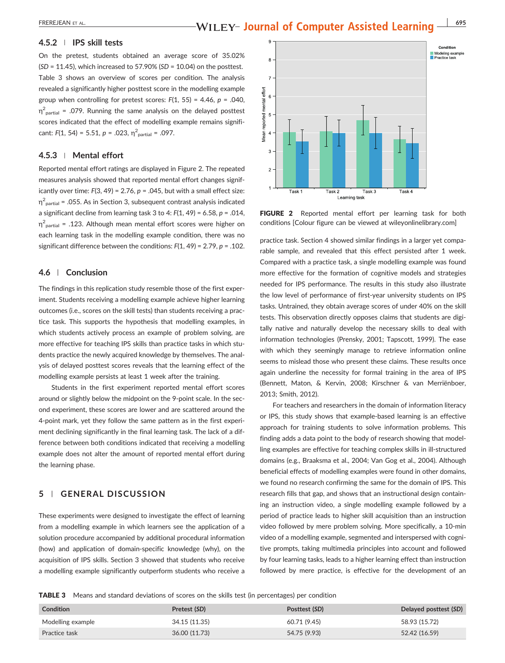#### 4.5.2 <sup>|</sup> IPS skill tests

On the pretest, students obtained an average score of 35.02%  $(SD = 11.45)$ , which increased to 57.90%  $(SD = 10.04)$  on the posttest. Table 3 shows an overview of scores per condition. The analysis revealed a significantly higher posttest score in the modelling example group when controlling for pretest scores:  $F(1, 55) = 4.46$ ,  $p = .040$ ,  $\eta^2$ <sub>partial</sub> = .079. Running the same analysis on the delayed posttest scores indicated that the effect of modelling example remains significant:  $F(1, 54) = 5.51, p = .023, \eta^2_{\text{partial}} = .097.$ 

#### 4.5.3 <sup>|</sup> Mental effort

Reported mental effort ratings are displayed in Figure 2. The repeated measures analysis showed that reported mental effort changes significantly over time:  $F(3, 49) = 2.76$ ,  $p = .045$ , but with a small effect size: η2 partial = .055. As in Section 3, subsequent contrast analysis indicated a significant decline from learning task 3 to 4:  $F(1, 49) = 6.58$ ,  $p = .014$ ,  $\eta^2_{\text{ partial}}$  = .123. Although mean mental effort scores were higher on each learning task in the modelling example condition, there was no significant difference between the conditions:  $F(1, 49) = 2.79$ ,  $p = .102$ .

#### 4.6 | Conclusion

The findings in this replication study resemble those of the first experiment. Students receiving a modelling example achieve higher learning outcomes (i.e., scores on the skill tests) than students receiving a practice task. This supports the hypothesis that modelling examples, in which students actively process an example of problem solving, are more effective for teaching IPS skills than practice tasks in which students practice the newly acquired knowledge by themselves. The analysis of delayed posttest scores reveals that the learning effect of the modelling example persists at least 1 week after the training.

Students in the first experiment reported mental effort scores around or slightly below the midpoint on the 9‐point scale. In the second experiment, these scores are lower and are scattered around the 4‐point mark, yet they follow the same pattern as in the first experiment declining significantly in the final learning task. The lack of a difference between both conditions indicated that receiving a modelling example does not alter the amount of reported mental effort during the learning phase.

#### 5 | GENERAL DISCUSSION

These experiments were designed to investigate the effect of learning from a modelling example in which learners see the application of a solution procedure accompanied by additional procedural information (how) and application of domain‐specific knowledge (why), on the acquisition of IPS skills. Section 3 showed that students who receive a modelling example significantly outperform students who receive a



FIGURE 2 Reported mental effort per learning task for both conditions [Colour figure can be viewed at [wileyonlinelibrary.com](http://wileyonlinelibrary.com)]

practice task. Section 4 showed similar findings in a larger yet comparable sample, and revealed that this effect persisted after 1 week. Compared with a practice task, a single modelling example was found more effective for the formation of cognitive models and strategies needed for IPS performance. The results in this study also illustrate the low level of performance of first‐year university students on IPS tasks. Untrained, they obtain average scores of under 40% on the skill tests. This observation directly opposes claims that students are digitally native and naturally develop the necessary skills to deal with information technologies (Prensky, 2001; Tapscott, 1999). The ease with which they seemingly manage to retrieve information online seems to mislead those who present these claims. These results once again underline the necessity for formal training in the area of IPS (Bennett, Maton, & Kervin, 2008; Kirschner & van Merriënboer, 2013; Smith, 2012).

For teachers and researchers in the domain of information literacy or IPS, this study shows that example‐based learning is an effective approach for training students to solve information problems. This finding adds a data point to the body of research showing that modelling examples are effective for teaching complex skills in ill‐structured domains (e.g., Braaksma et al., 2004; Van Gog et al., 2004). Although beneficial effects of modelling examples were found in other domains, we found no research confirming the same for the domain of IPS. This research fills that gap, and shows that an instructional design containing an instruction video, a single modelling example followed by a period of practice leads to higher skill acquisition than an instruction video followed by mere problem solving. More specifically, a 10‐min video of a modelling example, segmented and interspersed with cognitive prompts, taking multimedia principles into account and followed by four learning tasks, leads to a higher learning effect than instruction followed by mere practice, is effective for the development of an

TABLE 3 Means and standard deviations of scores on the skills test (in percentages) per condition

| Condition         | Pretest (SD)  | Posttest (SD) | Delayed posttest (SD) |
|-------------------|---------------|---------------|-----------------------|
| Modelling example | 34.15 (11.35) | 60.71 (9.45)  | 58.93 (15.72)         |
| Practice task     | 36.00 (11.73) | 54.75 (9.93)  | 52.42 (16.59)         |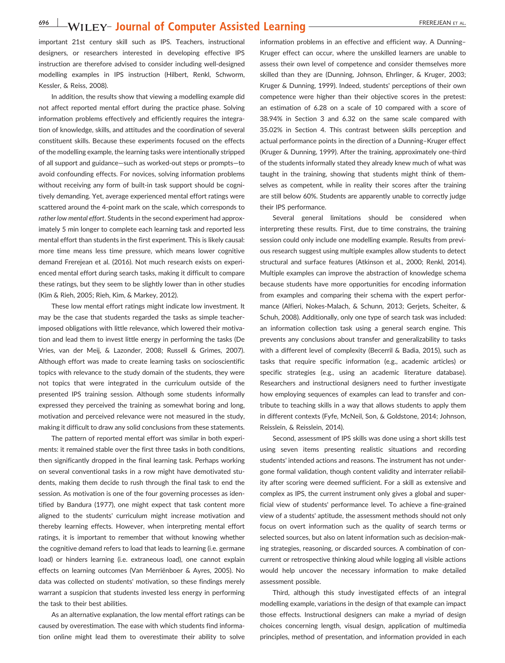important 21st century skill such as IPS. Teachers, instructional designers, or researchers interested in developing effective IPS instruction are therefore advised to consider including well‐designed modelling examples in IPS instruction (Hilbert, Renkl, Schworm, Kessler, & Reiss, 2008).

In addition, the results show that viewing a modelling example did not affect reported mental effort during the practice phase. Solving information problems effectively and efficiently requires the integration of knowledge, skills, and attitudes and the coordination of several constituent skills. Because these experiments focused on the effects of the modelling example, the learning tasks were intentionally stripped of all support and guidance—such as worked‐out steps or prompts—to avoid confounding effects. For novices, solving information problems without receiving any form of built-in task support should be cognitively demanding. Yet, average experienced mental effort ratings were scattered around the 4‐point mark on the scale, which corresponds to rather low mental effort. Students in the second experiment had approximately 5 min longer to complete each learning task and reported less mental effort than students in the first experiment. This is likely causal: more time means less time pressure, which means lower cognitive demand Frerejean et al. (2016). Not much research exists on experienced mental effort during search tasks, making it difficult to compare these ratings, but they seem to be slightly lower than in other studies (Kim & Rieh, 2005; Rieh, Kim, & Markey, 2012).

These low mental effort ratings might indicate low investment. It may be the case that students regarded the tasks as simple teacher‐ imposed obligations with little relevance, which lowered their motivation and lead them to invest little energy in performing the tasks (De Vries, van der Meij, & Lazonder, 2008; Russell & Grimes, 2007). Although effort was made to create learning tasks on socioscientific topics with relevance to the study domain of the students, they were not topics that were integrated in the curriculum outside of the presented IPS training session. Although some students informally expressed they perceived the training as somewhat boring and long, motivation and perceived relevance were not measured in the study, making it difficult to draw any solid conclusions from these statements.

The pattern of reported mental effort was similar in both experiments: it remained stable over the first three tasks in both conditions, then significantly dropped in the final learning task. Perhaps working on several conventional tasks in a row might have demotivated students, making them decide to rush through the final task to end the session. As motivation is one of the four governing processes as identified by Bandura (1977), one might expect that task content more aligned to the students' curriculum might increase motivation and thereby learning effects. However, when interpreting mental effort ratings, it is important to remember that without knowing whether the cognitive demand refers to load that leads to learning (i.e. germane load) or hinders learning (i.e. extraneous load), one cannot explain effects on learning outcomes (Van Merriënboer & Ayres, 2005). No data was collected on students' motivation, so these findings merely warrant a suspicion that students invested less energy in performing the task to their best abilities.

As an alternative explanation, the low mental effort ratings can be caused by overestimation. The ease with which students find information online might lead them to overestimate their ability to solve information problems in an effective and efficient way. A Dunning– Kruger effect can occur, where the unskilled learners are unable to assess their own level of competence and consider themselves more skilled than they are (Dunning, Johnson, Ehrlinger, & Kruger, 2003; Kruger & Dunning, 1999). Indeed, students' perceptions of their own competence were higher than their objective scores in the pretest: an estimation of 6.28 on a scale of 10 compared with a score of 38.94% in Section 3 and 6.32 on the same scale compared with 35.02% in Section 4. This contrast between skills perception and actual performance points in the direction of a Dunning–Kruger effect (Kruger & Dunning, 1999). After the training, approximately one‐third of the students informally stated they already knew much of what was taught in the training, showing that students might think of themselves as competent, while in reality their scores after the training are still below 60%. Students are apparently unable to correctly judge their IPS performance.

Several general limitations should be considered when interpreting these results. First, due to time constrains, the training session could only include one modelling example. Results from previous research suggest using multiple examples allow students to detect structural and surface features (Atkinson et al., 2000; Renkl, 2014). Multiple examples can improve the abstraction of knowledge schema because students have more opportunities for encoding information from examples and comparing their schema with the expert performance (Alfieri, Nokes‐Malach, & Schunn, 2013; Gerjets, Scheiter, & Schuh, 2008). Additionally, only one type of search task was included: an information collection task using a general search engine. This prevents any conclusions about transfer and generalizability to tasks with a different level of complexity (Becerril & Badia, 2015), such as tasks that require specific information (e.g., academic articles) or specific strategies (e.g., using an academic literature database). Researchers and instructional designers need to further investigate how employing sequences of examples can lead to transfer and contribute to teaching skills in a way that allows students to apply them in different contexts (Fyfe, McNeil, Son, & Goldstone, 2014; Johnson, Reisslein, & Reisslein, 2014).

Second, assessment of IPS skills was done using a short skills test using seven items presenting realistic situations and recording students' intended actions and reasons. The instrument has not undergone formal validation, though content validity and interrater reliability after scoring were deemed sufficient. For a skill as extensive and complex as IPS, the current instrument only gives a global and superficial view of students' performance level. To achieve a fine‐grained view of a students' aptitude, the assessment methods should not only focus on overt information such as the quality of search terms or selected sources, but also on latent information such as decision‐making strategies, reasoning, or discarded sources. A combination of concurrent or retrospective thinking aloud while logging all visible actions would help uncover the necessary information to make detailed assessment possible.

Third, although this study investigated effects of an integral modelling example, variations in the design of that example can impact those effects. Instructional designers can make a myriad of design choices concerning length, visual design, application of multimedia principles, method of presentation, and information provided in each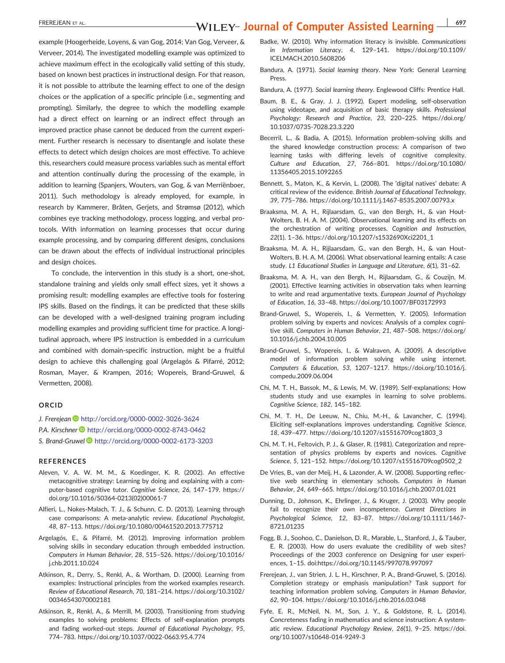example (Hoogerheide, Loyens, & van Gog, 2014; Van Gog, Verveer, & Verveer, 2014). The investigated modelling example was optimized to achieve maximum effect in the ecologically valid setting of this study, based on known best practices in instructional design. For that reason, it is not possible to attribute the learning effect to one of the design choices or the application of a specific principle (i.e., segmenting and prompting). Similarly, the degree to which the modelling example had a direct effect on learning or an indirect effect through an improved practice phase cannot be deduced from the current experiment. Further research is necessary to disentangle and isolate these effects to detect which design choices are most effective. To achieve this, researchers could measure process variables such as mental effort and attention continually during the processing of the example, in addition to learning (Spanjers, Wouters, van Gog, & van Merriënboer, 2011). Such methodology is already employed, for example, in research by Kammerer, Bråten, Gerjets, and Strømsø (2012), which combines eye tracking methodology, process logging, and verbal protocols. With information on learning processes that occur during example processing, and by comparing different designs, conclusions can be drawn about the effects of individual instructional principles and design choices.

To conclude, the intervention in this study is a short, one‐shot, standalone training and yields only small effect sizes, yet it shows a promising result: modelling examples are effective tools for fostering IPS skills. Based on the findings, it can be predicted that these skills can be developed with a well-designed training program including modelling examples and providing sufficient time for practice. A longitudinal approach, where IPS instruction is embedded in a curriculum and combined with domain‐specific instruction, might be a fruitful design to achieve this challenging goal (Argelagós & Pifarré, 2012; Rosman, Mayer, & Krampen, 2016; Wopereis, Brand‐Gruwel, & Vermetten, 2008).

#### ORCID

J. Frerejean <http://orcid.org/0000-0002-3026-3624> P.A. Kirschner <http://orcid.org/0000-0002-8743-0462> S. Brand-Gruwel <sup>●</sup> <http://orcid.org/0000-0002-6173-3203>

#### REFERENCES

- Aleven, V. A. W. M. M., & Koedinger, K. R. (2002). An effective metacognitive strategy: Learning by doing and explaining with a computer-based cognitive tutor. Cognitive Science, 26, 147-179. [https://](https://doi.org/10.1016/S0364-0213(02)00061-7) [doi.org/10.1016/S0364](https://doi.org/10.1016/S0364-0213(02)00061-7)‐0213(02)00061‐7
- Alfieri, L., Nokes‐Malach, T. J., & Schunn, C. D. (2013). Learning through case comparisons: A meta-analytic review. Educational Psychologist, 48, 87–113.<https://doi.org/10.1080/00461520.2013.775712>
- Argelagós, E., & Pifarré, M. (2012). Improving information problem solving skills in secondary education through embedded instruction. Computers in Human Behavior, 28, 515–526. [https://doi.org/10.1016/](https://doi.org/10.1016/j.chb.2011.10.024) [j.chb.2011.10.024](https://doi.org/10.1016/j.chb.2011.10.024)
- Atkinson, R., Derry, S., Renkl, A., & Wortham, D. (2000). Learning from examples: Instructional principles from the worked examples research. Review of Educational Research, 70, 181–214. [https://doi.org/10.3102/](https://doi.org/10.3102/00346543070002181) [00346543070002181](https://doi.org/10.3102/00346543070002181)
- Atkinson, R., Renkl, A., & Merrill, M. (2003). Transitioning from studying examples to solving problems: Effects of self‐explanation prompts and fading worked-out steps. Journal of Educational Psychology, 95, 774–783. [https://doi.org/10.1037/0022](https://doi.org/10.1037/0022-0663.95.4.774)‐0663.95.4.774
- Badke, W. (2010). Why information literacy is invisible. Communications in Information Literacy, 4, 129–141. [https://doi.org/10.1109/](https://doi.org/10.1109/ICELMACH.2010.5608206) [ICELMACH.2010.5608206](https://doi.org/10.1109/ICELMACH.2010.5608206)
- Bandura, A. (1971). Social learning theory. New York: General Learning Press.
- Bandura, A. (1977). Social learning theory. Englewood Cliffs: Prentice Hall.
- Baum, B. E., & Gray, J. J. (1992). Expert modeling, self‐observation using videotape, and acquisition of basic therapy skills. Professional Psychology: Research and Practice, 23, 220–225. [https://doi.org/](https://doi.org/10.1037/0735-7028.23.3.220) 10.1037/0735‐[7028.23.3.220](https://doi.org/10.1037/0735-7028.23.3.220)
- Becerril, L., & Badia, A. (2015). Information problem‐solving skills and the shared knowledge construction process: A comparison of two learning tasks with differing levels of cognitive complexity. Culture and Education, 27, 766–801. [https://doi.org/10.1080/](https://doi.org/10.1080/11356405.2015.1092265) [11356405.2015.1092265](https://doi.org/10.1080/11356405.2015.1092265)
- Bennett, S., Maton, K., & Kervin, L. (2008). The 'digital natives' debate: A critical review of the evidence. British Journal of Educational Technology, 39, 775–786. [https://doi.org/10.1111/j.1467](https://doi.org/10.1111/j.1467-8535.2007.00793.x)‐8535.2007.00793.x
- Braaksma, M. A. H., Rijlaarsdam, G., van den Bergh, H., & van Hout‐ Wolters, B. H. A. M. (2004). Observational learning and its effects on the orchestration of writing processes. Cognition and Instruction, 22(1), 1–36. [https://doi.org/10.1207/s1532690Xci2201\\_1](https://doi.org/10.1207/s1532690Xci2201_1)
- Braaksma, M. A. H., Rijlaarsdam, G., van den Bergh, H., & van Hout‐ Wolters, B. H. A. M. (2006). What observational learning entails: A case study. L1 Educational Studies in Language and Literature, 6(1), 31–62.
- Braaksma, M. A. H., van den Bergh, H., Rijlaarsdam, G., & Couzijn, M. (2001). Effective learning activities in observation taks when learning to write and read argumentative texts. European Journal of Psychology of Education, 16, 33–48.<https://doi.org/10.1007/BF03172993>
- Brand‐Gruwel, S., Wopereis, I., & Vermetten, Y. (2005). Information problem solving by experts and novices: Analysis of a complex cognitive skill. Computers in Human Behavior, 21, 487–508. [https://doi.org/](https://doi.org/10.1016/j.chb.2004.10.005) [10.1016/j.chb.2004.10.005](https://doi.org/10.1016/j.chb.2004.10.005)
- Brand‐Gruwel, S., Wopereis, I., & Walraven, A. (2009). A descriptive model of information problem solving while using internet. Computers & Education, 53, 1207–1217. [https://doi.org/10.1016/j.](https://doi.org/10.1016/j.compedu.2009.06.004) [compedu.2009.06.004](https://doi.org/10.1016/j.compedu.2009.06.004)
- Chi, M. T. H., Bassok, M., & Lewis, M. W. (1989). Self‐explanations: How students study and use examples in learning to solve problems. Cognitive Science, 182, 145–182.
- Chi, M. T. H., De Leeuw, N., Chiu, M.‐H., & Lavancher, C. (1994). Eliciting self‐explanations improves understanding. Cognitive Science, 18, 439–477. [https://doi.org/10.1207/s15516709cog1803\\_3](https://doi.org/10.1207/s15516709cog1803_3)
- Chi, M. T. H., Feltovich, P. J., & Glaser, R. (1981). Categorization and representation of physics problems by experts and novices. Cognitive Science, 5, 121–152. [https://doi.org/10.1207/s15516709cog0502\\_2](https://doi.org/10.1207/s15516709cog0502_2)
- De Vries, B., van der Meij, H., & Lazonder, A. W. (2008). Supporting reflective web searching in elementary schools. Computers in Human Behavior, 24, 649–665.<https://doi.org/10.1016/j.chb.2007.01.021>
- Dunning, D., Johnson, K., Ehrlinger, J., & Kruger, J. (2003). Why people fail to recognize their own incompetence. Current Directions in Psychological Science, 12, 83–87. [https://doi.org/10.1111/1467](https://doi.org/10.1111/1467-8721.01235)‐ [8721.01235](https://doi.org/10.1111/1467-8721.01235)
- Fogg, B. J., Soohoo, C., Danielson, D. R., Marable, L., Stanford, J., & Tauber, E. R. (2003). How do users evaluate the credibility of web sites? Proceedings of the 2003 conference on Designing for user experiences, 1–15. doi:<https://doi.org/10.1145/997078.997097>
- Frerejean, J., van Strien, J. L. H., Kirschner, P. A., Brand‐Gruwel, S. (2016). Completion strategy or emphasis manipulation? Task support for teaching information problem solving. Computers in Human Behavior, 62, 90–104.<https://doi.org/10.1016/j.chb.2016.03.048>
- Fyfe, E. R., McNeil, N. M., Son, J. Y., & Goldstone, R. L. (2014). Concreteness fading in mathematics and science instruction: A systematic review. Educational Psychology Review, 26(1), 9–25. [https://doi.](https://doi.org/10.1007/s10648-014-9249-3) [org/10.1007/s10648](https://doi.org/10.1007/s10648-014-9249-3)‐014‐9249‐3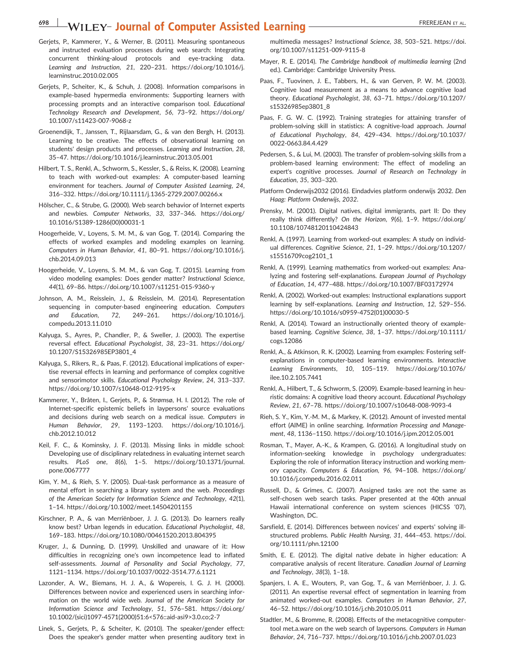- Gerjets, P., Kammerer, Y., & Werner, B. (2011). Measuring spontaneous and instructed evaluation processes during web search: Integrating concurrent thinking‐aloud protocols and eye‐tracking data. Learning and Instruction, 21, 220–231. [https://doi.org/10.1016/j.](https://doi.org/10.1016/j.learninstruc.2010.02.005) [learninstruc.2010.02.005](https://doi.org/10.1016/j.learninstruc.2010.02.005)
- Gerjets, P., Scheiter, K., & Schuh, J. (2008). Information comparisons in example‐based hypermedia environments: Supporting learners with processing prompts and an interactive comparison tool. Educational Technology Research and Development, 56, 73–92. [https://doi.org/](https://doi.org/10.1007/s11423-007-9068-z) [10.1007/s11423](https://doi.org/10.1007/s11423-007-9068-z)‐007‐9068‐z
- Groenendijk, T., Janssen, T., Rijlaarsdam, G., & van den Bergh, H. (2013). Learning to be creative. The effects of observational learning on students' design products and processes. Learning and Instruction, 28, 35–47.<https://doi.org/10.1016/j.learninstruc.2013.05.001>
- Hilbert, T. S., Renkl, A., Schworm, S., Kessler, S., & Reiss, K. (2008). Learning to teach with worked‐out examples: A computer‐based learning environment for teachers. Journal of Computer Assisted Learning, 24, 316–332. [https://doi.org/10.1111/j.1365](https://doi.org/10.1111/j.1365-2729.2007.00266.x)‐2729.2007.00266.x
- Hölscher, C., & Strube, G. (2000). Web search behavior of Internet experts and newbies. Computer Networks, 33, 337–346. [https://doi.org/](https://doi.org/10.1016/S1389-1286(00)00031-1) [10.1016/S1389](https://doi.org/10.1016/S1389-1286(00)00031-1)‐1286(00)00031‐1
- Hoogerheide, V., Loyens, S. M. M., & van Gog, T. (2014). Comparing the effects of worked examples and modeling examples on learning. Computers in Human Behavior, 41, 80–91. [https://doi.org/10.1016/j.](https://doi.org/10.1016/j.chb.2014.09.013) [chb.2014.09.013](https://doi.org/10.1016/j.chb.2014.09.013)
- Hoogerheide, V., Loyens, S. M. M., & van Gog, T. (2015). Learning from video modeling examples: Does gender matter? Instructional Science, 44(1), 69–86. [https://doi.org/10.1007/s11251](https://doi.org/10.1007/s11251-015-9360-y)‐015‐9360‐y
- Johnson, A. M., Reisslein, J., & Reisslein, M. (2014). Representation sequencing in computer-based engineering education. Computers and Education, 72, 249–261. [https://doi.org/10.1016/j.](https://doi.org/10.1016/j.compedu.2013.11.010) [compedu.2013.11.010](https://doi.org/10.1016/j.compedu.2013.11.010)
- Kalyuga, S., Ayres, P., Chandler, P., & Sweller, J. (2003). The expertise reversal effect. Educational Psychologist, 38, 23–31. [https://doi.org/](https://doi.org/10.1207/S15326985EP3801_4) [10.1207/S15326985EP3801\\_4](https://doi.org/10.1207/S15326985EP3801_4)
- Kalyuga, S., Rikers, R., & Paas, F. (2012). Educational implications of expertise reversal effects in learning and performance of complex cognitive and sensorimotor skills. Educational Psychology Review, 24, 313–337. [https://doi.org/10.1007/s10648](https://doi.org/10.1007/s10648-012-9195-x)‐012‐9195‐x
- Kammerer, Y., Bråten, I., Gerjets, P., & Strømsø, H. I. (2012). The role of Internet‐specific epistemic beliefs in laypersons' source evaluations and decisions during web search on a medical issue. Computers in Human Behavior, 29, 1193–1203. [https://doi.org/10.1016/j.](https://doi.org/10.1016/j.chb.2012.10.012) [chb.2012.10.012](https://doi.org/10.1016/j.chb.2012.10.012)
- Keil, F. C., & Kominsky, J. F. (2013). Missing links in middle school: Developing use of disciplinary relatedness in evaluating internet search results. PLoS one, 8(6), 1–5. [https://doi.org/10.1371/journal.](https://doi.org/10.1371/journal.pone.0067777) [pone.0067777](https://doi.org/10.1371/journal.pone.0067777)
- Kim, Y. M., & Rieh, S. Y. (2005). Dual‐task performance as a measure of mental effort in searching a library system and the web. Proceedings of the American Society for Information Science and Technology, 42(1), 1–14.<https://doi.org/10.1002/meet.14504201155>
- Kirschner, P. A., & van Merriënboer, J. J. G. (2013). Do learners really know best? Urban legends in education. Educational Psychologist, 48, 169–183.<https://doi.org/10.1080/00461520.2013.804395>
- Kruger, J., & Dunning, D. (1999). Unskilled and unaware of it: How difficulties in recognizing one's own incompetence lead to inflated self-assessments. Journal of Personality and Social Psychology, 77, 1121–1134. [https://doi.org/10.1037/0022](https://doi.org/10.1037/0022-3514.77.6.1121)‐3514.77.6.1121
- Lazonder, A. W., Biemans, H. J. A., & Wopereis, I. G. J. H. (2000). Differences between novice and experienced users in searching information on the world wide web. Journal of the American Society for Information Science and Technology, 51, 576–581. [https://doi.org/](https://doi.org/10.1002/(sici)1097-4571(2000)51:6%3C576::aid-asi9%3E3.0.co;2-7) 10.1002/(sici)1097‐[4571\(2000\)51:6<576::aid](https://doi.org/10.1002/(sici)1097-4571(2000)51:6%3C576::aid-asi9%3E3.0.co;2-7)‐asi9>3.0.co;2‐7
- Linek, S., Gerjets, P., & Scheiter, K. (2010). The speaker/gender effect: Does the speaker's gender matter when presenting auditory text in

multimedia messages? Instructional Science, 38, 503–521. [https://doi.](https://doi.org/10.1007/s11251-009-9115-8) [org/10.1007/s11251](https://doi.org/10.1007/s11251-009-9115-8)‐009‐9115‐8

- Mayer, R. E. (2014). The Cambridge handbook of multimedia learning (2nd ed.). Cambridge: Cambridge University Press.
- Paas, F., Tuovinen, J. E., Tabbers, H., & van Gerven, P. W. M. (2003). Cognitive load measurement as a means to advance cognitive load theory. Educational Psychologist, 38, 63–71. [https://doi.org/10.1207/](https://doi.org/10.1207/s15326985ep3801_8) [s15326985ep3801\\_8](https://doi.org/10.1207/s15326985ep3801_8)
- Paas, F. G. W. C. (1992). Training strategies for attaining transfer of problem‐solving skill in statistics: A cognitive‐load approach. Journal of Educational Psychology, 84, 429–434. [https://doi.org/10.1037/](https://doi.org/10.1037/0022-0663.84.4.429) 0022‐[0663.84.4.429](https://doi.org/10.1037/0022-0663.84.4.429)
- Pedersen, S., & Lui, M. (2003). The transfer of problem‐solving skills from a problem‐based learning environment: The effect of modeling an expert's cognitive processes. Journal of Research on Technology in Education, 35, 303–320.
- Platform Onderwijs2032 (2016). Eindadvies platform onderwijs 2032. Den Haag: Platform Onderwijs, 2032.
- Prensky, M. (2001). Digital natives, digital immigrants, part II: Do they really think differently? On the Horizon, 9(6), 1–9. [https://doi.org/](https://doi.org/10.1108/10748120110424843) [10.1108/10748120110424843](https://doi.org/10.1108/10748120110424843)
- Renkl, A. (1997). Learning from worked-out examples: A study on individual differences. Cognitive Science, 21, 1-29. [https://doi.org/10.1207/](https://doi.org/10.1207/s15516709cog2101_1) [s15516709cog2101\\_1](https://doi.org/10.1207/s15516709cog2101_1)
- Renkl, A. (1999). Learning mathematics from worked‐out examples: Analyzing and fostering self‐explanations. European Journal of Psychology of Education, 14, 477–488.<https://doi.org/10.1007/BF03172974>
- Renkl, A. (2002). Worked‐out examples: Instructional explanations support learning by self-explanations. Learning and Instruction, 12, 529-556. [https://doi.org/10.1016/s0959](https://doi.org/10.1016/s0959-4752(01)00030-5)‐4752(01)00030‐5
- Renkl, A. (2014). Toward an instructionally oriented theory of example‐ based learning. Cognitive Science, 38, 1–37. [https://doi.org/10.1111/](https://doi.org/10.1111/cogs.12086) [cogs.12086](https://doi.org/10.1111/cogs.12086)
- Renkl, A., & Atkinson, R. K. (2002). Learning from examples: Fostering self‐ explanations in computer-based learning environments. Interactive Learning Environments, 10, 105–119. [https://doi.org/10.1076/](https://doi.org/10.1076/ilee.10.2.105.7441) [ilee.10.2.105.7441](https://doi.org/10.1076/ilee.10.2.105.7441)
- Renkl, A., Hilbert, T., & Schworm, S. (2009). Example‐based learning in heuristic domains: A cognitive load theory account. Educational Psychology Review, 21, 67–78. [https://doi.org/10.1007/s10648](https://doi.org/10.1007/s10648-008-9093-4)‐008‐9093‐4
- Rieh, S. Y., Kim, Y.‐M. M., & Markey, K. (2012). Amount of invested mental effort (AIME) in online searching. Information Processing and Management, 48, 1136–1150.<https://doi.org/10.1016/j.ipm.2012.05.001>
- Rosman, T., Mayer, A.‐K., & Krampen, G. (2016). A longitudinal study on information‐seeking knowledge in psychology undergraduates: Exploring the role of information literacy instruction and working memory capacity. Computers & Education, 96, 94–108. [https://doi.org/](https://doi.org/10.1016/j.compedu.2016.02.011) [10.1016/j.compedu.2016.02.011](https://doi.org/10.1016/j.compedu.2016.02.011)
- Russell, D., & Grimes, C. (2007). Assigned tasks are not the same as self-chosen web search tasks. Paper presented at the 40th annual Hawaii international conference on system sciences (HICSS '07), Washington, DC.
- Sarsfield, E. (2014). Differences between novices' and experts' solving ill‐ structured problems. Public Health Nursing, 31, 444–453. [https://doi.](https://doi.org/10.1111/phn.12100) [org/10.1111/phn.12100](https://doi.org/10.1111/phn.12100)
- Smith, E. E. (2012). The digital native debate in higher education: A comparative analysis of recent literature. Canadian Journal of Learning and Technology, 38(3), 1–18.
- Spanjers, I. A. E., Wouters, P., van Gog, T., & van Merriënboer, J. J. G. (2011). An expertise reversal effect of segmentation in learning from animated worked‐out examples. Computers in Human Behavior, 27, 46–52.<https://doi.org/10.1016/j.chb.2010.05.011>
- Stadtler, M., & Bromme, R. (2008). Effects of the metacognitive computer‐ tool met.a.ware on the web search of laypersons. Computers in Human Behavior, 24, 716–737.<https://doi.org/10.1016/j.chb.2007.01.023>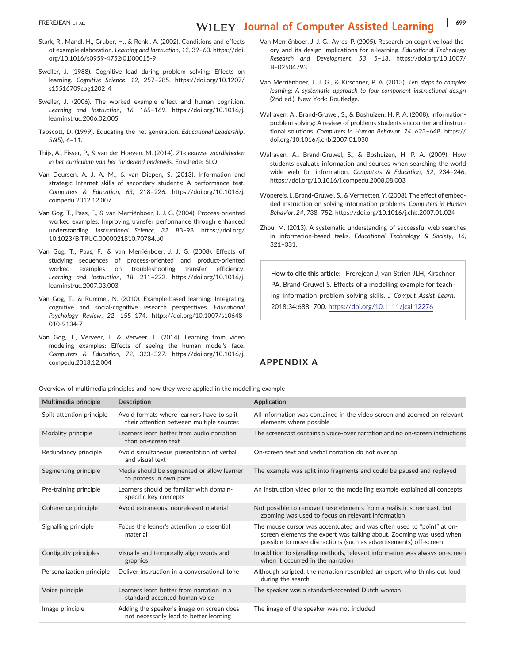### EREREJEAN ET AL. **EXEREJEAN ET AL. EXEREJEAN ET AL. EXEREJEAN ET AL. COPY THE TYPE TO UT LEY- JOUITIAI of Computer Assisted Learning**  $\frac{1}{1699}$

- Stark, R., Mandl, H., Gruber, H., & Renkl, A. (2002). Conditions and effects of example elaboration. Learning and Instruction, 12, 39–60. [https://doi.](https://doi.org/10.1016/s0959-4752(01)00015-9) [org/10.1016/s0959](https://doi.org/10.1016/s0959-4752(01)00015-9)‐4752(01)00015‐9
- Sweller, J. (1988). Cognitive load during problem solving: Effects on learning. Cognitive Science, 12, 257–285. [https://doi.org/10.1207/](https://doi.org/10.1207/s15516709cog1202_4) [s15516709cog1202\\_4](https://doi.org/10.1207/s15516709cog1202_4)
- Sweller, J. (2006). The worked example effect and human cognition. Learning and Instruction, 16, 165–169. [https://doi.org/10.1016/j.](https://doi.org/10.1016/j.learninstruc.2006.02.005) [learninstruc.2006.02.005](https://doi.org/10.1016/j.learninstruc.2006.02.005)
- Tapscott, D. (1999). Educating the net generation. Educational Leadership, 56(5), 6–11.
- Thijs, A., Fisser, P., & van der Hoeven, M. (2014). 21e eeuwse vaardigheden in het curriculum van het funderend onderwijs. Enschede: SLO.
- Van Deursen, A. J. A. M., & van Diepen, S. (2013). Information and strategic Internet skills of secondary students: A performance test. Computers & Education, 63, 218–226. [https://doi.org/10.1016/j.](https://doi.org/10.1016/j.compedu.2012.12.007) [compedu.2012.12.007](https://doi.org/10.1016/j.compedu.2012.12.007)
- Van Gog, T., Paas, F., & van Merriënboer, J. J. G. (2004). Process‐oriented worked examples: Improving transfer performance through enhanced understanding. Instructional Science, 32, 83–98. [https://doi.org/](https://doi.org/10.1023/B:TRUC.0000021810.70784.b0) [10.1023/B:TRUC.0000021810.70784.b0](https://doi.org/10.1023/B:TRUC.0000021810.70784.b0)
- Van Gog, T., Paas, F., & van Merriënboer, J. J. G. (2008). Effects of studying sequences of process‐oriented and product‐oriented worked examples on troubleshooting transfer efficiency. Learning and Instruction, 18, 211–222. [https://doi.org/10.1016/j.](https://doi.org/10.1016/j.learninstruc.2007.03.003) [learninstruc.2007.03.003](https://doi.org/10.1016/j.learninstruc.2007.03.003)
- Van Gog, T., & Rummel, N. (2010). Example‐based learning: Integrating cognitive and social‐cognitive research perspectives. Educational Psychology Review, 22, 155–174. [https://doi.org/10.1007/s10648](https://doi.org/10.1007/s10648-010-9134-7)‐ 010‐[9134](https://doi.org/10.1007/s10648-010-9134-7)‐7
- Van Gog, T., Verveer, I., & Verveer, L. (2014). Learning from video modeling examples: Effects of seeing the human model's face. Computers & Education, 72, 323–327. [https://doi.org/10.1016/j.](https://doi.org/10.1016/j.compedu.2013.12.004) [compedu.2013.12.004](https://doi.org/10.1016/j.compedu.2013.12.004)
- Van Merriënboer, J. J. G., Ayres, P. (2005). Research on cognitive load theory and its design implications for e‐learning. Educational Technology Research and Development, 53, 5–13. [https://doi.org/10.1007/](https://doi.org/10.1007/BF02504793) [BF02504793](https://doi.org/10.1007/BF02504793)
- Van Merriënboer, J. J. G., & Kirschner, P. A. (2013). Ten steps to complex learning: A systematic approach to four-component instructional design (2nd ed.). New York: Routledge.
- Walraven, A., Brand‐Gruwel, S., & Boshuizen, H. P. A. (2008). Information‐ problem solving: A review of problems students encounter and instructional solutions. Computers in Human Behavior, 24, 623–648. [https://](https://doi.org/10.1016/j.chb.2007.01.030) [doi.org/10.1016/j.chb.2007.01.030](https://doi.org/10.1016/j.chb.2007.01.030)
- Walraven, A., Brand‐Gruwel, S., & Boshuizen, H. P. A. (2009). How students evaluate information and sources when searching the world wide web for information. Computers & Education, 52, 234–246. <https://doi.org/10.1016/j.compedu.2008.08.003>
- Wopereis, I., Brand‐Gruwel, S., & Vermetten, Y. (2008). The effect of embedded instruction on solving information problems. Computers in Human Behavior, 24, 738–752.<https://doi.org/10.1016/j.chb.2007.01.024>
- Zhou, M. (2013). A systematic understanding of successful web searches in information-based tasks. Educational Technology & Society, 16, 321–331.

How to cite this article: Frerejean J, van Strien JLH, Kirschner PA, Brand‐Gruwel S. Effects of a modelling example for teaching information problem solving skills. J Comput Assist Learn. 2018;34:688–700. <https://doi.org/10.1111/jcal.12276>

### APPENDIX A

Overview of multimedia principles and how they were applied in the modelling example

| Multimedia principle      | <b>Description</b>                                                                     | <b>Application</b>                                                                                                                                                                                                |
|---------------------------|----------------------------------------------------------------------------------------|-------------------------------------------------------------------------------------------------------------------------------------------------------------------------------------------------------------------|
| Split-attention principle | Avoid formats where learners have to split<br>their attention between multiple sources | All information was contained in the video screen and zoomed on relevant<br>elements where possible                                                                                                               |
| Modality principle        | Learners learn better from audio narration<br>than on-screen text                      | The screencast contains a voice-over narration and no on-screen instructions                                                                                                                                      |
| Redundancy principle      | Avoid simultaneous presentation of verbal<br>and visual text                           | On-screen text and verbal narration do not overlap                                                                                                                                                                |
| Segmenting principle      | Media should be segmented or allow learner<br>to process in own pace                   | The example was split into fragments and could be paused and replayed                                                                                                                                             |
| Pre-training principle    | Learners should be familiar with domain-<br>specific key concepts                      | An instruction video prior to the modelling example explained all concepts                                                                                                                                        |
| Coherence principle       | Avoid extraneous, nonrelevant material                                                 | Not possible to remove these elements from a realistic screencast, but<br>zooming was used to focus on relevant information                                                                                       |
| Signalling principle      | Focus the leaner's attention to essential<br>material                                  | The mouse cursor was accentuated and was often used to "point" at on-<br>screen elements the expert was talking about. Zooming was used when<br>possible to move distractions (such as advertisements) off-screen |
| Contiguity principles     | Visually and temporally align words and<br>graphics                                    | In addition to signalling methods, relevant information was always on-screen<br>when it occurred in the narration                                                                                                 |
| Personalization principle | Deliver instruction in a conversational tone                                           | Although scripted, the narration resembled an expert who thinks out loud<br>during the search                                                                                                                     |
| Voice principle           | Learners learn better from narration in a<br>standard-accented human voice             | The speaker was a standard-accented Dutch woman                                                                                                                                                                   |
| Image principle           | Adding the speaker's image on screen does<br>not necessarily lead to better learning   | The image of the speaker was not included                                                                                                                                                                         |